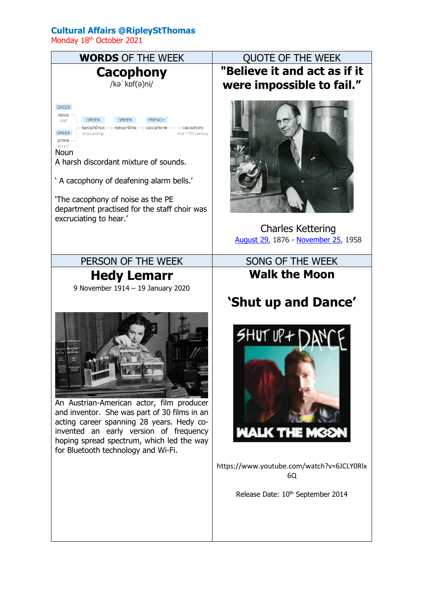## **Cultural Affairs @RipleyStThomas**

Monday 18<sup>th</sup> October 2021